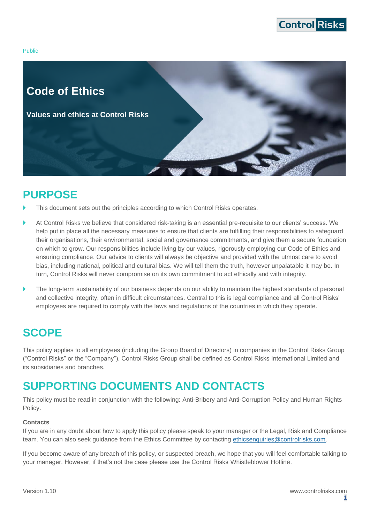

Public



## <span id="page-0-0"></span>**PURPOSE**

- This document sets out the principles according to which Control Risks operates.
- At Control Risks we believe that considered risk-taking is an essential pre-requisite to our clients' success. We help put in place all the necessary measures to ensure that clients are fulfilling their responsibilities to safeguard their organisations, their environmental, social and governance commitments, and give them a secure foundation on which to grow. Our responsibilities include living by our values, rigorously employing our Code of Ethics and ensuring compliance. Our advice to clients will always be objective and provided with the utmost care to avoid bias, including national, political and cultural bias. We will tell them the truth, however unpalatable it may be. In turn, Control Risks will never compromise on its own commitment to act ethically and with integrity.
- The long-term sustainability of our business depends on our ability to maintain the highest standards of personal and collective integrity, often in difficult circumstances. Central to this is legal compliance and all Control Risks' employees are required to comply with the laws and regulations of the countries in which they operate.

## <span id="page-0-1"></span>**SCOPE**

This policy applies to all employees (including the Group Board of Directors) in companies in the Control Risks Group ("Control Risks" or the "Company"). Control Risks Group shall be defined as Control Risks International Limited and its subsidiaries and branches.

## <span id="page-0-2"></span>**SUPPORTING DOCUMENTS AND CONTACTS**

This policy must be read in conjunction with the following: Anti-Bribery and Anti-Corruption Policy and Human Rights Policy.

#### **Contacts**

If you are in any doubt about how to apply this policy please speak to your manager or the Legal, Risk and Compliance team. You can also seek guidance from the Ethics Committee by contacting [ethicsenquiries@controlrisks.com.](mailto:ethicsenquiries@controlrisks.com)

If you become aware of any breach of this policy, or suspected breach, we hope that you will feel comfortable talking to your manager. However, if that's not the case please use the Control Risks Whistleblower Hotline.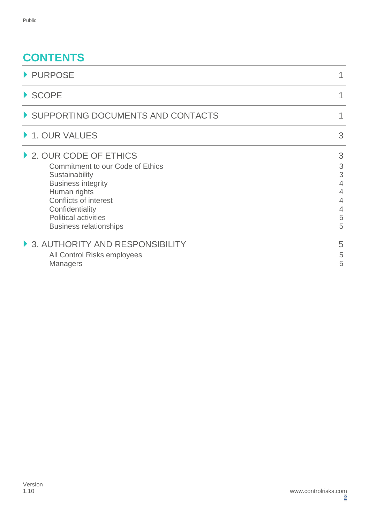# **CONTENTS**

| PURPOSE                                                                                                                                                                                                                                            |                                           |
|----------------------------------------------------------------------------------------------------------------------------------------------------------------------------------------------------------------------------------------------------|-------------------------------------------|
| $\blacktriangleright$ SCOPE                                                                                                                                                                                                                        | 1                                         |
| SUPPORTING DOCUMENTS AND CONTACTS                                                                                                                                                                                                                  | 1                                         |
| ▶ 1. OUR VALUES                                                                                                                                                                                                                                    | 3                                         |
| 2. OUR CODE OF ETHICS<br><b>Commitment to our Code of Ethics</b><br>Sustainability<br><b>Business integrity</b><br>Human rights<br><b>Conflicts of interest</b><br>Confidentiality<br><b>Political activities</b><br><b>Business relationships</b> | 3<br>3<br>3<br>4<br>4<br>4<br>4<br>5<br>5 |
| 3. AUTHORITY AND RESPONSIBILITY<br>All Control Risks employees<br><b>Managers</b>                                                                                                                                                                  | 5<br>5<br>5                               |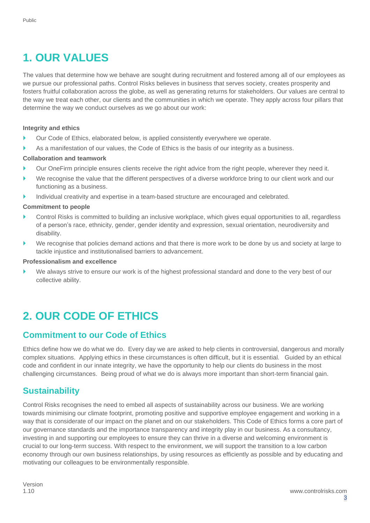# <span id="page-2-0"></span>**1. OUR VALUES**

The values that determine how we behave are sought during recruitment and fostered among all of our employees as we pursue our professional paths. Control Risks believes in business that serves society, creates prosperity and fosters fruitful collaboration across the globe, as well as generating returns for stakeholders. Our values are central to the way we treat each other, our clients and the communities in which we operate. They apply across four pillars that determine the way we conduct ourselves as we go about our work:

#### **Integrity and ethics**

- ▶ Our Code of Ethics, elaborated below, is applied consistently everywhere we operate.
- As a manifestation of our values, the Code of Ethics is the basis of our integrity as a business.

#### **Collaboration and teamwork**

- Our OneFirm principle ensures clients receive the right advice from the right people, wherever they need it.
- We recognise the value that the different perspectives of a diverse workforce bring to our client work and our functioning as a business.
- Individual creativity and expertise in a team-based structure are encouraged and celebrated.

#### **Commitment to people**

- Control Risks is committed to building an inclusive workplace, which gives equal opportunities to all, regardless of a person's race, ethnicity, gender, gender identity and expression, sexual orientation, neurodiversity and disability.
- We recognise that policies demand actions and that there is more work to be done by us and society at large to tackle injustice and institutionalised barriers to advancement.

#### **Professionalism and excellence**

We always strive to ensure our work is of the highest professional standard and done to the very best of our collective ability.

# <span id="page-2-1"></span>**2. OUR CODE OF ETHICS**

#### <span id="page-2-2"></span>**Commitment to our Code of Ethics**

Ethics define how we do what we do. Every day we are asked to help clients in controversial, dangerous and morally complex situations. Applying ethics in these circumstances is often difficult, but it is essential. Guided by an ethical code and confident in our innate integrity, we have the opportunity to help our clients do business in the most challenging circumstances. Being proud of what we do is always more important than short-term financial gain.

#### <span id="page-2-3"></span>**Sustainability**

Control Risks recognises the need to embed all aspects of sustainability across our business. We are working towards minimising our climate footprint, promoting positive and supportive employee engagement and working in a way that is considerate of our impact on the planet and on our stakeholders. This Code of Ethics forms a core part of our governance standards and the importance transparency and integrity play in our business. As a consultancy, investing in and supporting our employees to ensure they can thrive in a diverse and welcoming environment is crucial to our long-term success. With respect to the environment, we will support the transition to a low carbon economy through our own business relationships, by using resources as efficiently as possible and by educating and motivating our colleagues to be environmentally responsible.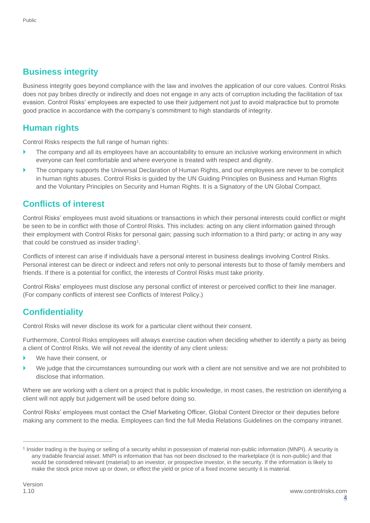### <span id="page-3-0"></span>**Business integrity**

Business integrity goes beyond compliance with the law and involves the application of our core values. Control Risks does not pay bribes directly or indirectly and does not engage in any acts of corruption including the facilitation of tax evasion. Control Risks' employees are expected to use their judgement not just to avoid malpractice but to promote good practice in accordance with the company's commitment to high standards of integrity.

### <span id="page-3-1"></span>**Human rights**

Control Risks respects the full range of human rights:

- The company and all its employees have an accountability to ensure an inclusive working environment in which everyone can feel comfortable and where everyone is treated with respect and dignity.
- The company supports the Universal Declaration of Human Rights, and our employees are never to be complicit in human rights abuses. Control Risks is guided by the UN Guiding Principles on Business and Human Rights and the Voluntary Principles on Security and Human Rights. It is a Signatory of the UN Global Compact.

#### <span id="page-3-2"></span>**Conflicts of interest**

Control Risks' employees must avoid situations or transactions in which their personal interests could conflict or might be seen to be in conflict with those of Control Risks. This includes: acting on any client information gained through their employment with Control Risks for personal gain; passing such information to a third party; or acting in any way that could be construed as insider trading<sup>1</sup>.

Conflicts of interest can arise if individuals have a personal interest in business dealings involving Control Risks. Personal interest can be direct or indirect and refers not only to personal interests but to those of family members and friends. If there is a potential for conflict, the interests of Control Risks must take priority.

Control Risks' employees must disclose any personal conflict of interest or perceived conflict to their line manager. (For company conflicts of interest see Conflicts of Interest Policy.)

## <span id="page-3-3"></span>**Confidentiality**

Control Risks will never disclose its work for a particular client without their consent.

Furthermore, Control Risks employees will always exercise caution when deciding whether to identify a party as being a client of Control Risks. We will not reveal the identity of any client unless:

- We have their consent, or
- We judge that the circumstances surrounding our work with a client are not sensitive and we are not prohibited to disclose that information.

Where we are working with a client on a project that is public knowledge, in most cases, the restriction on identifying a client will not apply but judgement will be used before doing so.

Control Risks' employees must contact the Chief Marketing Officer, Global Content Director or their deputies before making any comment to the media. Employees can find the full Media Relations Guidelines on the company intranet.

<sup>&</sup>lt;sup>1</sup> Insider trading is the buying or selling of a security whilst in possession of material non-public information (MNPI). A security is any tradable financial asset. MNPI is information that has not been disclosed to the marketplace (it is non-public) and that would be considered relevant (material) to an investor, or prospective investor, in the security. If the information is likely to make the stock price move up or down, or effect the yield or price of a fixed income security it is material.